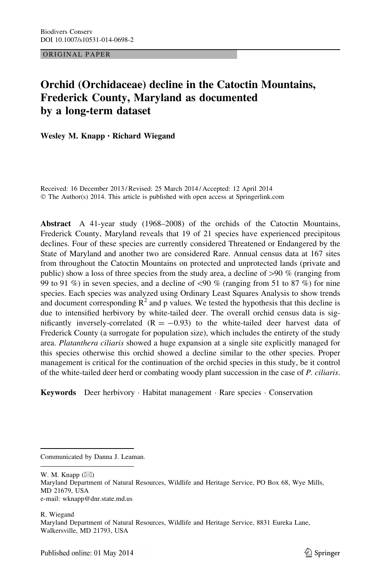ORIGINAL PAPER

# Orchid (Orchidaceae) decline in the Catoctin Mountains, Frederick County, Maryland as documented by a long-term dataset

Wesley M. Knapp • Richard Wiegand

Received: 16 December 2013 / Revised: 25 March 2014 / Accepted: 12 April 2014 © The Author(s) 2014. This article is published with open access at Springerlink.com

Abstract A 41-year study (1968–2008) of the orchids of the Catoctin Mountains, Frederick County, Maryland reveals that 19 of 21 species have experienced precipitous declines. Four of these species are currently considered Threatened or Endangered by the State of Maryland and another two are considered Rare. Annual census data at 167 sites from throughout the Catoctin Mountains on protected and unprotected lands (private and public) show a loss of three species from the study area, a decline of  $>90\%$  (ranging from 99 to 91 %) in seven species, and a decline of  $\langle 90 \%$  (ranging from 51 to 87 %) for nine species. Each species was analyzed using Ordinary Least Squares Analysis to show trends and document corresponding  $\mathbb{R}^2$  and p values. We tested the hypothesis that this decline is due to intensified herbivory by white-tailed deer. The overall orchid census data is significantly inversely-correlated  $(R = -0.93)$  to the white-tailed deer harvest data of Frederick County (a surrogate for population size), which includes the entirety of the study area. Platanthera ciliaris showed a huge expansion at a single site explicitly managed for this species otherwise this orchid showed a decline similar to the other species. Proper management is critical for the continuation of the orchid species in this study, be it control of the white-tailed deer herd or combating woody plant succession in the case of P. ciliaris.

Keywords Deer herbivory · Habitat management · Rare species · Conservation

Communicated by Danna J. Leaman.

W. M. Knapp  $(\boxtimes)$ Maryland Department of Natural Resources, Wildlife and Heritage Service, PO Box 68, Wye Mills, MD 21679, USA e-mail: wknapp@dnr.state.md.us

R. Wiegand Maryland Department of Natural Resources, Wildlife and Heritage Service, 8831 Eureka Lane, Walkersville, MD 21793, USA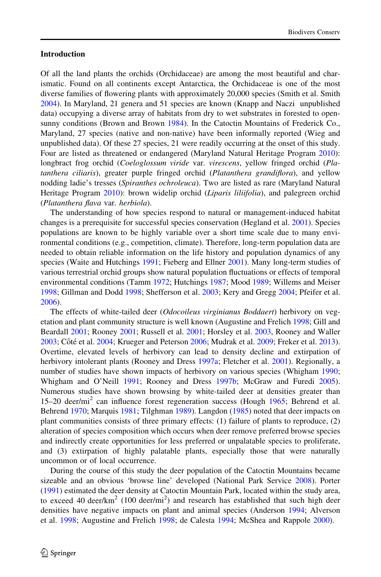#### Introduction

Of all the land plants the orchids (Orchidaceae) are among the most beautiful and charismatic. Found on all continents except Antarctica, the Orchidaceae is one of the most diverse families of flowering plants with approximately 20,000 species (Smith et al. Smith [2004\)](#page-11-0). In Maryland, 21 genera and 51 species are known (Knapp and Naczi unpublished data) occupying a diverse array of habitats from dry to wet substrates in forested to opensunny conditions (Brown and Brown [1984](#page-9-0)). In the Catoctin Mountains of Frederick Co., Maryland, 27 species (native and non-native) have been informally reported (Wieg and unpublished data). Of these 27 species, 21 were readily occurring at the onset of this study. Four are listed as threatened or endangered (Maryland Natural Heritage Program [2010\)](#page-10-0): longbract frog orchid (Coeloglossum viride var. virescens, yellow fringed orchid (Platanthera ciliaris), greater purple fringed orchid (Platanthera grandiflora), and yellow nodding ladie's tresses (Spiranthes ochroleuca). Two are listed as rare (Maryland Natural Heritage Program [2010\)](#page-10-0): brown widelip orchid (Liparis liliifolia), and palegreen orchid (Platanthera flava var. herbiola).

The understanding of how species respond to natural or management-induced habitat changes is a prerequisite for successful species conservation (Hegland et al. [2001\)](#page-9-0). Species populations are known to be highly variable over a short time scale due to many environmental conditions (e.g., competition, climate). Therefore, long-term population data are needed to obtain reliable information on the life history and population dynamics of any species (Waite and Hutchings [1991](#page-11-0); Fieberg and Ellner [2001\)](#page-9-0). Many long-term studies of various terrestrial orchid groups show natural population fluctuations or effects of temporal environmental conditions (Tamm [1972;](#page-11-0) Hutchings [1987](#page-9-0); Mood [1989](#page-10-0); Willems and Meiser [1998;](#page-11-0) Gillman and Dodd [1998](#page-9-0); Shefferson et al. [2003](#page-10-0); Kery and Gregg [2004](#page-10-0); Pfeifer et al. [2006\)](#page-10-0).

The effects of white-tailed deer (*Odocoileus virginianus Boddaert*) herbivory on vegetation and plant community structure is well known (Augustine and Frelich [1998;](#page-9-0) Gill and Beardall [2001;](#page-9-0) Rooney [2001](#page-10-0); Russell et al. [2001](#page-10-0); Horsley et al. [2003,](#page-9-0) Rooney and Waller [2003;](#page-10-0) Côté et al. [2004;](#page-9-0) Krueger and Peterson [2006;](#page-10-0) Mudrak et al. [2009](#page-10-0); Freker et al. [2013](#page-9-0)). Overtime, elevated levels of herbivory can lead to density decline and extirpation of herbivory intolerant plants (Rooney and Dress [1997a;](#page-10-0) Fletcher et al. [2001\)](#page-9-0). Regionally, a number of studies have shown impacts of herbivory on various species (Whigham [1990;](#page-11-0) Whigham and O'Neill [1991](#page-11-0); Rooney and Dress [1997b;](#page-10-0) McGraw and Furedi [2005](#page-10-0)). Numerous studies have shown browsing by white-tailed deer at densities greater than 15–20 deer/mi<sup>2</sup> can influence forest regeneration success (Hough [1965](#page-9-0); Behrend et al. Behrend [1970](#page-9-0); Marquis [1981;](#page-10-0) Tilghman [1989](#page-11-0)). Langdon [\(1985](#page-10-0)) noted that deer impacts on plant communities consists of three primary effects: (1) failure of plants to reproduce, (2) alteration of species composition which occurs when deer remove preferred browse species and indirectly create opportunities for less preferred or unpalatable species to proliferate, and (3) extirpation of highly palatable plants, especially those that were naturally uncommon or of local occurrence.

During the course of this study the deer population of the Catoctin Mountains became sizeable and an obvious 'browse line' developed (National Park Service [2008\)](#page-10-0). Porter ([1991\)](#page-10-0) estimated the deer density at Catoctin Mountain Park, located within the study area, to exceed 40 deer/km<sup>2</sup> (100 deer/mi<sup>2</sup>) and research has established that such high deer densities have negative impacts on plant and animal species (Anderson [1994](#page-9-0); Alverson et al. [1998](#page-9-0); Augustine and Frelich [1998;](#page-9-0) de Calesta [1994;](#page-9-0) McShea and Rappole [2000](#page-10-0)).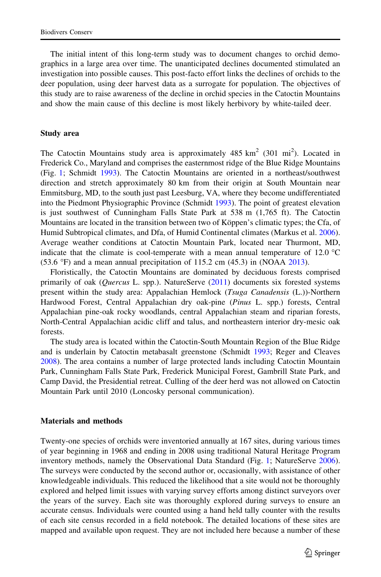The initial intent of this long-term study was to document changes to orchid demographics in a large area over time. The unanticipated declines documented stimulated an investigation into possible causes. This post-facto effort links the declines of orchids to the deer population, using deer harvest data as a surrogate for population. The objectives of this study are to raise awareness of the decline in orchid species in the Catoctin Mountains and show the main cause of this decline is most likely herbivory by white-tailed deer.

#### Study area

The Catoctin Mountains study area is approximately  $485 \text{ km}^2$  (301 mi<sup>2</sup>). Located in Frederick Co., Maryland and comprises the easternmost ridge of the Blue Ridge Mountains (Fig. [1;](#page-3-0) Schmidt [1993\)](#page-10-0). The Catoctin Mountains are oriented in a northeast/southwest direction and stretch approximately 80 km from their origin at South Mountain near Emmitsburg, MD, to the south just past Leesburg, VA, where they become undifferentiated into the Piedmont Physiographic Province (Schmidt [1993](#page-10-0)). The point of greatest elevation is just southwest of Cunningham Falls State Park at 538 m (1,765 ft). The Catoctin Mountains are located in the transition between two of Köppen's climatic types; the Cfa, of Humid Subtropical climates, and Dfa, of Humid Continental climates (Markus et al. [2006](#page-10-0)). Average weather conditions at Catoctin Mountain Park, located near Thurmont, MD, indicate that the climate is cool-temperate with a mean annual temperature of 12.0  $^{\circ}$ C  $(53.6 \text{ °F})$  and a mean annual precipitation of 115.2 cm  $(45.3)$  in (NOAA [2013\)](#page-10-0).

Floristically, the Catoctin Mountains are dominated by deciduous forests comprised primarily of oak (Quercus L. spp.). NatureServe ([2011\)](#page-10-0) documents six forested systems present within the study area: Appalachian Hemlock (Tsuga Canadensis (L.))-Northern Hardwood Forest, Central Appalachian dry oak-pine (Pinus L. spp.) forests, Central Appalachian pine-oak rocky woodlands, central Appalachian steam and riparian forests, North-Central Appalachian acidic cliff and talus, and northeastern interior dry-mesic oak forests.

The study area is located within the Catoctin-South Mountain Region of the Blue Ridge and is underlain by Catoctin metabasalt greenstone (Schmidt [1993;](#page-10-0) Reger and Cleaves [2008\)](#page-10-0). The area contains a number of large protected lands including Catoctin Mountain Park, Cunningham Falls State Park, Frederick Municipal Forest, Gambrill State Park, and Camp David, the Presidential retreat. Culling of the deer herd was not allowed on Catoctin Mountain Park until 2010 (Loncosky personal communication).

#### Materials and methods

Twenty-one species of orchids were inventoried annually at 167 sites, during various times of year beginning in 1968 and ending in 2008 using traditional Natural Heritage Program inventory methods, namely the Observational Data Standard (Fig. [1](#page-3-0); NatureServe [2006](#page-10-0)). The surveys were conducted by the second author or, occasionally, with assistance of other knowledgeable individuals. This reduced the likelihood that a site would not be thoroughly explored and helped limit issues with varying survey efforts among distinct surveyors over the years of the survey. Each site was thoroughly explored during surveys to ensure an accurate census. Individuals were counted using a hand held tally counter with the results of each site census recorded in a field notebook. The detailed locations of these sites are mapped and available upon request. They are not included here because a number of these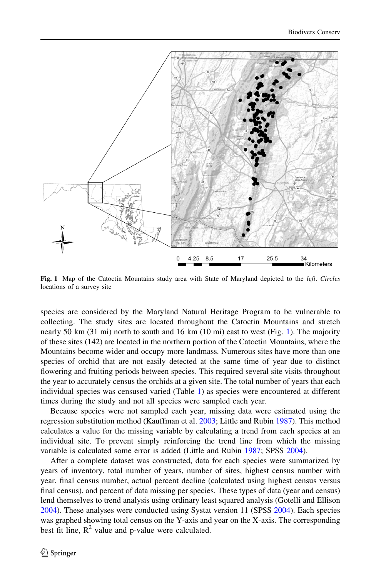<span id="page-3-0"></span>

Fig. 1 Map of the Catoctin Mountains study area with State of Maryland depicted to the *left. Circles* locations of a survey site

species are considered by the Maryland Natural Heritage Program to be vulnerable to collecting. The study sites are located throughout the Catoctin Mountains and stretch nearly 50 km (31 mi) north to south and 16 km (10 mi) east to west (Fig. 1). The majority of these sites (142) are located in the northern portion of the Catoctin Mountains, where the Mountains become wider and occupy more landmass. Numerous sites have more than one species of orchid that are not easily detected at the same time of year due to distinct flowering and fruiting periods between species. This required several site visits throughout the year to accurately census the orchids at a given site. The total number of years that each individual species was censused varied (Table [1](#page-4-0)) as species were encountered at different times during the study and not all species were sampled each year.

Because species were not sampled each year, missing data were estimated using the regression substitution method (Kauffman et al. [2003;](#page-9-0) Little and Rubin [1987](#page-10-0)). This method calculates a value for the missing variable by calculating a trend from each species at an individual site. To prevent simply reinforcing the trend line from which the missing variable is calculated some error is added (Little and Rubin [1987;](#page-10-0) SPSS [2004\)](#page-11-0).

After a complete dataset was constructed, data for each species were summarized by years of inventory, total number of years, number of sites, highest census number with year, final census number, actual percent decline (calculated using highest census versus final census), and percent of data missing per species. These types of data (year and census) lend themselves to trend analysis using ordinary least squared analysis (Gotelli and Ellison [2004\)](#page-9-0). These analyses were conducted using Systat version 11 (SPSS [2004](#page-11-0)). Each species was graphed showing total census on the Y-axis and year on the X-axis. The corresponding best fit line,  $R^2$  value and p-value were calculated.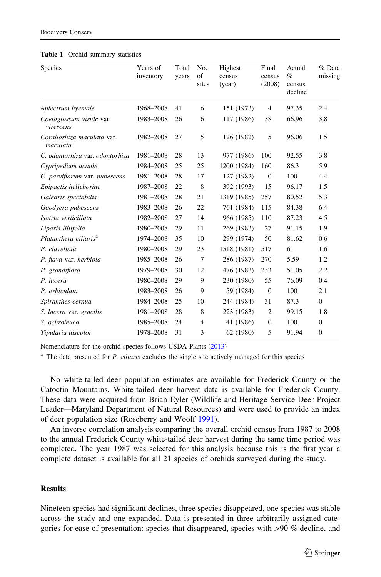| <b>Species</b>                         | Years of<br>inventory | Total<br>years | No.<br>of<br>sites | Highest<br>census<br>(year) | Final<br>census<br>(2008) | Actual<br>$\%$<br>census<br>decline | % Data<br>missing |
|----------------------------------------|-----------------------|----------------|--------------------|-----------------------------|---------------------------|-------------------------------------|-------------------|
| Aplectrum hyemale                      | 1968-2008             | 41             | 6                  | 151 (1973)                  | $\overline{4}$            | 97.35                               | 2.4               |
| Coeloglossum viride var.<br>virescens  | 1983-2008             | 26             | 6                  | 117 (1986)                  | 38                        | 66.96                               | 3.8               |
| Corallorhiza maculata var.<br>maculata | 1982-2008             | 27             | 5                  | 126 (1982)                  | 5                         | 96.06                               | 1.5               |
| C. odontorhiza var. odontorhiza        | 1981-2008             | 28             | 13                 | 977 (1986)                  | 100                       | 92.55                               | 3.8               |
| Cypripedium acaule                     | 1984-2008             | 25             | 25                 | 1200 (1984)                 | 160                       | 86.3                                | 5.9               |
| C. parviflorum var. pubescens          | 1981-2008             | 28             | 17                 | 127 (1982)                  | $\mathbf{0}$              | 100                                 | 4.4               |
| Epipactis helleborine                  | 1987-2008             | 22             | 8                  | 392 (1993)                  | 15                        | 96.17                               | 1.5               |
| Galearis spectabilis                   | 1981-2008             | 28             | 21                 | 1319 (1985)                 | 257                       | 80.52                               | 5.3               |
| Goodyera pubescens                     | 1983-2008             | 26             | 22                 | 761 (1984)                  | 115                       | 84.38                               | 6.4               |
| Isotria verticillata                   | 1982-2008             | 27             | 14                 | 966 (1985)                  | 110                       | 87.23                               | 4.5               |
| Liparis liliifolia                     | 1980-2008             | 29             | 11                 | 269 (1983)                  | 27                        | 91.15                               | 1.9               |
| Platanthera ciliaris <sup>a</sup>      | 1974-2008             | 35             | 10                 | 299 (1974)                  | 50                        | 81.62                               | 0.6               |
| P. clavellata                          | 1980-2008             | 29             | 23                 | 1518 (1981)                 | 517                       | 61                                  | 1.6               |
| P. flava var. herbiola                 | 1985-2008             | 26             | 7                  | 286 (1987)                  | 270                       | 5.59                                | 1.2               |
| P. grandiflora                         | 1979-2008             | 30             | 12                 | 476 (1983)                  | 233                       | 51.05                               | 2.2               |
| P. lacera                              | 1980-2008             | 29             | 9                  | 230 (1980)                  | 55                        | 76.09                               | 0.4               |
| P. orbiculata                          | 1983-2008             | 26             | 9                  | 59 (1984)                   | $\mathbf{0}$              | 100                                 | 2.1               |
| Spiranthes cernua                      | 1984-2008             | 25             | 10                 | 244 (1984)                  | 31                        | 87.3                                | $\overline{0}$    |
| S. lacera var. gracilis                | 1981-2008             | 28             | 8                  | 223 (1983)                  | $\overline{2}$            | 99.15                               | 1.8               |
| S. ochroleuca                          | 1985-2008             | 24             | 4                  | 41 (1986)                   | $\mathbf{0}$              | 100                                 | $\mathbf{0}$      |
| Tipularia discolor                     | 1978-2008             | 31             | 3                  | 62 (1980)                   | 5                         | 91.94                               | $\mathbf{0}$      |

<span id="page-4-0"></span>

| <b>Table 1</b> Orchid summary statistics |  |  |
|------------------------------------------|--|--|
|------------------------------------------|--|--|

Nomenclature for the orchid species follows USDA Plants [\(2013](#page-11-0))

 $^{\text{a}}$  The data presented for *P. ciliaris* excludes the single site actively managed for this species

No white-tailed deer population estimates are available for Frederick County or the Catoctin Mountains. White-tailed deer harvest data is available for Frederick County. These data were acquired from Brian Eyler (Wildlife and Heritage Service Deer Project Leader—Maryland Department of Natural Resources) and were used to provide an index of deer population size (Roseberry and Woolf [1991](#page-10-0)).

An inverse correlation analysis comparing the overall orchid census from 1987 to 2008 to the annual Frederick County white-tailed deer harvest during the same time period was completed. The year 1987 was selected for this analysis because this is the first year a complete dataset is available for all 21 species of orchids surveyed during the study.

#### **Results**

Nineteen species had significant declines, three species disappeared, one species was stable across the study and one expanded. Data is presented in three arbitrarily assigned categories for ease of presentation: species that disappeared, species with  $>90\%$  decline, and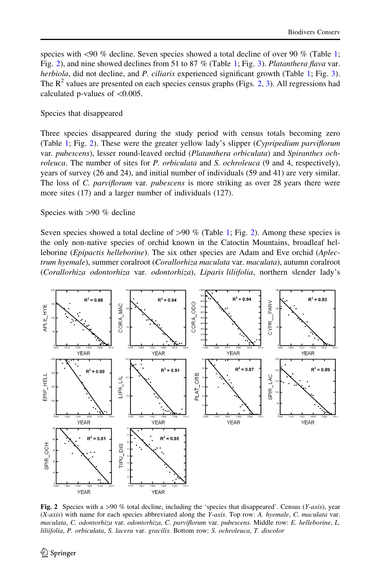<span id="page-5-0"></span>species with  $\leq 90$  % decline. Seven species showed a total decline of over 90 % (Table [1;](#page-4-0) Fig. 2), and nine showed declines from 5[1](#page-4-0) to 87 % (Table 1; Fig. [3](#page-6-0)). Platanthera flava var. herbiola, did not decline, and P. ciliaris experienced significant growth (Table [1;](#page-4-0) Fig. [3](#page-6-0)). The  $R^2$  values are presented on each species census graphs (Figs. 2, [3](#page-6-0)). All regressions had calculated p-values of  $\leq 0.005$ .

Species that disappeared

Three species disappeared during the study period with census totals becoming zero (Table [1](#page-4-0); Fig. 2). These were the greater yellow lady's slipper (Cypripedium parviflorum var. pubescens), lesser round-leaved orchid (Platanthera orbiculata) and Spiranthes ochroleuca. The number of sites for P. orbiculata and S. ochroleuca (9 and 4, respectively), years of survey (26 and 24), and initial number of individuals (59 and 41) are very similar. The loss of C. parviflorum var. pubescens is more striking as over 28 years there were more sites (17) and a larger number of individuals (127).

# Species with  $>90 \%$  decline

Seven species showed a total decline of  $>90 \%$  (Table [1](#page-4-0); Fig. 2). Among these species is the only non-native species of orchid known in the Catoctin Mountains, broadleaf helleborine (Epipactis helleborine). The six other species are Adam and Eve orchid (Aplectrum hyemale), summer coralroot (Corallorhiza maculata var. maculata), autumn coralroot (Corallorhiza odontorhiza var. odontorhiza), Liparis liliifolia, northern slender lady's



Fig. 2 Species with a >90 % total decline, including the 'species that disappeared'. Census (Y-axis), year  $(X-axis)$  with name for each species abbreviated along the Y-axis. Top row: A. hyemale, C. maculata var. maculata, C. odontorhiza var. odontorhiza, C. parviflorum var. pubescens. Middle row: E. helleborine, L. liliifolia, P. orbiculata, S. lacera var. gracilis. Bottom row: S. ochroleuca, T. discolor

 $\mathcal{L}$  Springer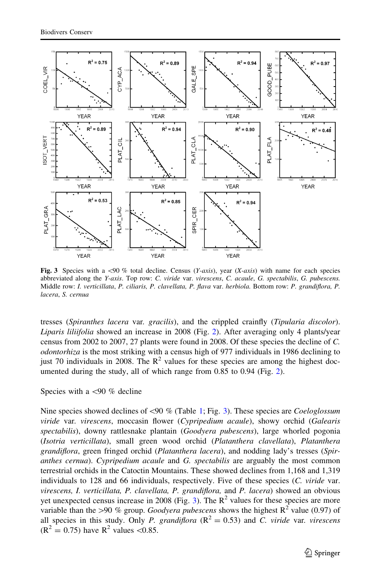<span id="page-6-0"></span>

Fig. 3 Species with a <90 % total decline. Census (Y-axis), year (X-axis) with name for each species abbreviated along the Y-axis. Top row: C. viride var. virescens, C. acaule, G. spectabilis, G. pubescens. Middle row: I. verticillata, P. ciliaris, P. clavellata, P. flava var. herbiola. Bottom row: P. grandiflora, P. lacera, S. cernua

tresses (Spiranthes lacera var. gracilis), and the crippled crainfly (Tipularia discolor). Liparis liliifolia showed an increase in 2008 (Fig. [2\)](#page-5-0). After averaging only 4 plants/year census from 2002 to 2007, 27 plants were found in 2008. Of these species the decline of C. odontorhiza is the most striking with a census high of 977 individuals in 1986 declining to just 70 individuals in 2008. The  $R^2$  values for these species are among the highest documented during the study, all of which range from 0.85 to 0.94 (Fig. [2](#page-5-0)).

# Species with a  $\langle 90 \%$  decline

Nine species showed declines of  $<90$  % (Table [1](#page-4-0); Fig. 3). These species are *Coeloglossum* viride var. virescens, moccasin flower (Cypripedium acaule), showy orchid (Galearis spectabilis), downy rattlesnake plantain (Goodyera pubescens), large whorled pogonia (Isotria verticillata), small green wood orchid (Platanthera clavellata), Platanthera grandiflora, green fringed orchid (Platanthera lacera), and nodding lady's tresses (Spiranthes cernua). Cypripedium acaule and G. spectabilis are arguably the most common terrestrial orchids in the Catoctin Mountains. These showed declines from 1,168 and 1,319 individuals to 128 and 66 individuals, respectively. Five of these species (C. viride var. virescens, I. verticillata, P. clavellata, P. grandiflora, and P. lacera) showed an obvious yet unexpected census increase in 2008 (Fig. 3). The  $\mathbb{R}^2$  values for these species are more variable than the >90 % group. Goodyera pubescens shows the highest  $R^2$  value (0.97) of all species in this study. Only P. grandiflora  $(R^2 = 0.53)$  and C. viride var. virescens  $(R^2 = 0.75)$  have  $R^2$  values < 0.85.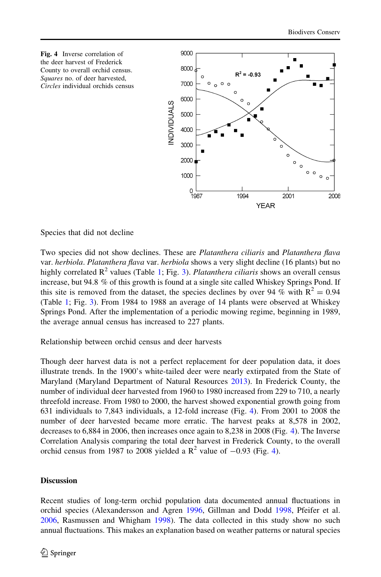

Species that did not decline

Two species did not show declines. These are *Platanthera ciliaris* and *Platanthera flava* var. *herbiola. Platanthera flava var. herbiola* shows a very slight decline (16 plants) but no highly correlated  $\mathbb{R}^2$  values (Table [1;](#page-4-0) Fig. [3\)](#page-6-0). Platanthera ciliaris shows an overall census increase, but 94.8 % of this growth is found at a single site called Whiskey Springs Pond. If this site is removed from the dataset, the species declines by over 94 % with  $R^2 = 0.94$ (Table [1](#page-4-0); Fig. [3](#page-6-0)). From 1984 to 1988 an average of 14 plants were observed at Whiskey Springs Pond. After the implementation of a periodic mowing regime, beginning in 1989, the average annual census has increased to 227 plants.

Relationship between orchid census and deer harvests

Though deer harvest data is not a perfect replacement for deer population data, it does illustrate trends. In the 1900's white-tailed deer were nearly extirpated from the State of Maryland (Maryland Department of Natural Resources [2013\)](#page-10-0). In Frederick County, the number of individual deer harvested from 1960 to 1980 increased from 229 to 710, a nearly threefold increase. From 1980 to 2000, the harvest showed exponential growth going from 631 individuals to 7,843 individuals, a 12-fold increase (Fig. 4). From 2001 to 2008 the number of deer harvested became more erratic. The harvest peaks at 8,578 in 2002, decreases to 6,884 in 2006, then increases once again to 8,238 in 2008 (Fig. 4). The Inverse Correlation Analysis comparing the total deer harvest in Frederick County, to the overall orchid census from 1987 to 2008 yielded a  $\mathbb{R}^2$  value of  $-0.93$  (Fig. 4).

# **Discussion**

Recent studies of long-term orchid population data documented annual fluctuations in orchid species (Alexandersson and Agren [1996,](#page-9-0) Gillman and Dodd [1998](#page-9-0), Pfeifer et al. [2006,](#page-10-0) Rasmussen and Whigham [1998](#page-10-0)). The data collected in this study show no such annual fluctuations. This makes an explanation based on weather patterns or natural species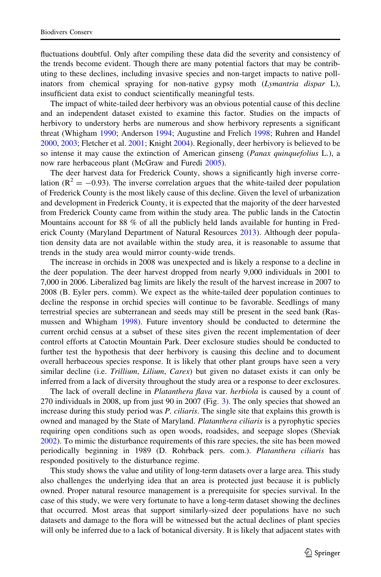fluctuations doubtful. Only after compiling these data did the severity and consistency of the trends become evident. Though there are many potential factors that may be contributing to these declines, including invasive species and non-target impacts to native pollinators from chemical spraying for non-native gypsy moth *(Lymantria dispar L)*, insufficient data exist to conduct scientifically meaningful tests.

The impact of white-tailed deer herbivory was an obvious potential cause of this decline and an independent dataset existed to examine this factor. Studies on the impacts of herbivory to understory herbs are numerous and show herbivory represents a significant threat (Whigham [1990](#page-11-0); Anderson [1994](#page-9-0); Augustine and Frelich [1998;](#page-9-0) Ruhren and Handel [2000,](#page-10-0) [2003](#page-10-0); Fletcher et al. [2001](#page-9-0); Knight [2004](#page-10-0)). Regionally, deer herbivory is believed to be so intense it may cause the extinction of American ginseng (Panax quinquefolius L.), a now rare herbaceous plant (McGraw and Furedi [2005\)](#page-10-0).

The deer harvest data for Frederick County, shows a significantly high inverse correlation ( $R^2 = -0.93$ ). The inverse correlation argues that the white-tailed deer population of Frederick County is the most likely cause of this decline. Given the level of urbanization and development in Frederick County, it is expected that the majority of the deer harvested from Frederick County came from within the study area. The public lands in the Catoctin Mountains account for 88 % of all the publicly held lands available for hunting in Frederick County (Maryland Department of Natural Resources [2013\)](#page-10-0). Although deer population density data are not available within the study area, it is reasonable to assume that trends in the study area would mirror county-wide trends.

The increase in orchids in 2008 was unexpected and is likely a response to a decline in the deer population. The deer harvest dropped from nearly 9,000 individuals in 2001 to 7,000 in 2006. Liberalized bag limits are likely the result of the harvest increase in 2007 to 2008 (B. Eyler pers. comm). We expect as the white-tailed deer population continues to decline the response in orchid species will continue to be favorable. Seedlings of many terrestrial species are subterranean and seeds may still be present in the seed bank (Rasmussen and Whigham [1998\)](#page-10-0). Future inventory should be conducted to determine the current orchid census at a subset of these sites given the recent implementation of deer control efforts at Catoctin Mountain Park. Deer exclosure studies should be conducted to further test the hypothesis that deer herbivory is causing this decline and to document overall herbaceous species response. It is likely that other plant groups have seen a very similar decline (i.e. *Trillium, Lilium, Carex*) but given no dataset exists it can only be inferred from a lack of diversity throughout the study area or a response to deer exclosures.

The lack of overall decline in *Platanthera flava* var. *herbiola* is caused by a count of 270 individuals in 2008, up from just 90 in 2007 (Fig. [3\)](#page-6-0). The only species that showed an increase during this study period was P. ciliaris. The single site that explains this growth is owned and managed by the State of Maryland. Platanthera ciliaris is a pyrophytic species requiring open conditions such as open woods, roadsides, and seepage slopes (Sheviak [2002\)](#page-11-0). To mimic the disturbance requirements of this rare species, the site has been mowed periodically beginning in 1989 (D. Rohrback pers. com.). Platanthera ciliaris has responded positively to the disturbance regime.

This study shows the value and utility of long-term datasets over a large area. This study also challenges the underlying idea that an area is protected just because it is publicly owned. Proper natural resource management is a prerequisite for species survival. In the case of this study, we were very fortunate to have a long-term dataset showing the declines that occurred. Most areas that support similarly-sized deer populations have no such datasets and damage to the flora will be witnessed but the actual declines of plant species will only be inferred due to a lack of botanical diversity. It is likely that adjacent states with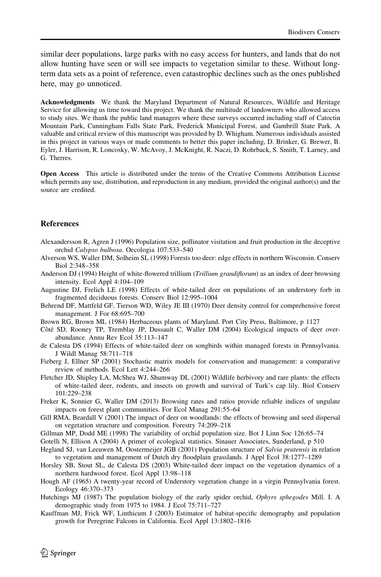<span id="page-9-0"></span>similar deer populations, large parks with no easy access for hunters, and lands that do not allow hunting have seen or will see impacts to vegetation similar to these. Without longterm data sets as a point of reference, even catastrophic declines such as the ones published here, may go unnoticed.

Acknowledgments We thank the Maryland Department of Natural Resources, Wildlife and Heritage Service for allowing us time toward this project. We thank the multitude of landowners who allowed access to study sites. We thank the public land managers where these surveys occurred including staff of Catoctin Mountain Park, Cunningham Falls State Park, Frederick Municipal Forest, and Gambrill State Park. A valuable and critical review of this manuscript was provided by D. Whigham. Numerous individuals assisted in this project in various ways or made comments to better this paper including, D. Brinker, G. Brewer, B. Eyler, J. Harrison, R. Loncosky, W. McAvoy, J. McKnight, R. Naczi, D. Rohrback, S. Smith, T. Larney, and G. Therres.

Open Access This article is distributed under the terms of the Creative Commons Attribution License which permits any use, distribution, and reproduction in any medium, provided the original author(s) and the source are credited.

# **References**

- Alexandersson R, Agren J (1996) Population size, pollinator visitation and fruit production in the deceptive orchid Calypso bulbosa. Oecologia 107:533–540
- Alverson WS, Waller DM, Solheim SL (1998) Forests too deer: edge effects in northern Wisconsin. Conserv Biol 2:348–358
- Anderson DJ (1994) Height of white-flowered trillium (Trillium grandiflorum) as an index of deer browsing intensity. Ecol Appl 4:104–109
- Augustine DJ, Frelich LE (1998) Effects of white-tailed deer on populations of an understory forb in fragmented deciduous forests. Conserv Biol 12:995–1004
- Behrend DF, Mattfeld GF, Tierson WD, Wiley JE III (1970) Deer density control for comprehensive forest management. J For 68:695–700
- Brown RG, Brown ML (1984) Herbaceous plants of Maryland. Port City Press, Baltimore, p 1127
- Côté SD, Rooney TP, Tremblay JP, Dussault C, Waller DM (2004) Ecological impacts of deer overabundance. Annu Rev Ecol 35:113–147
- de Calesta DS (1994) Effects of white-tailed deer on songbirds within managed forests in Pennsylvania. J Wildl Manag 58:711–718
- Fieberg J, Ellner SP (2001) Stochastic matrix models for conservation and management: a comparative review of methods. Ecol Lett 4:244–266
- Fletcher JD, Shipley LA, McShea WJ, Shumway DL (2001) Wildlife herbivory and rare plants: the effects of white-tailed deer, rodents, and insects on growth and survival of Turk's cap lily. Biol Conserv 101:229–238

Freker K, Sonnier G, Waller DM (2013) Browsing rates and ratios provide reliable indices of ungulate impacts on forest plant communities. For Ecol Manag 291:55–64

- Gill RMA, Beardall V (2001) The impact of deer on woodlands: the effects of browsing and seed dispersal on vegetation structure and composition. Forestry 74:209–218
- Gillman MP, Dodd ME (1998) The variability of orchid population size. Bot J Linn Soc 126:65–74

Gotelli N, Ellison A (2004) A primer of ecological statistics. Sinauer Associates, Sunderland, p 510

- Hegland SJ, van Leeuwen M, Oostermeijer JGB (2001) Population structure of Salvia pratensis in relation to vegetation and management of Dutch dry floodplain grasslands. J Appl Ecol 38:1277–1289
- Horsley SB, Stout SL, de Calesta DS (2003) White-tailed deer impact on the vegetation dynamics of a northern hardwood forest. Ecol Appl 13:98–118
- Hough AF (1965) A twenty-year record of Understory vegetation change in a virgin Pennsylvania forest. Ecology 46:370–373
- Hutchings MJ (1987) The population biology of the early spider orchid, *Ophyrs sphegodes* Mill. I. A demographic study from 1975 to 1984. J Ecol 75:711–727
- Kauffman MJ, Frick WF, Linthicum J (2003) Estimator of habitat-specific demography and population growth for Peregrine Falcons in California. Ecol Appl 13:1802–1816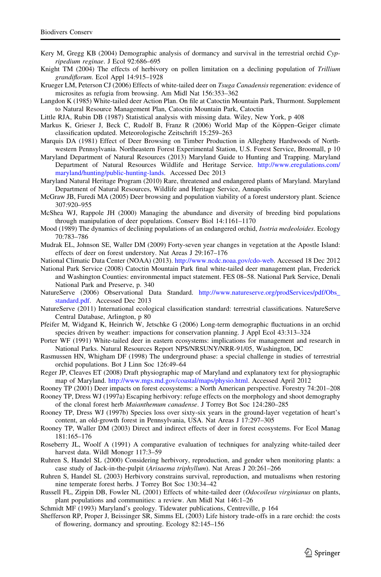- <span id="page-10-0"></span>Kery M, Gregg KB (2004) Demographic analysis of dormancy and survival in the terrestrial orchid Cypripedium reginae. J Ecol 92:686–695
- Knight TM (2004) The effects of herbivory on pollen limitation on a declining population of Trillium grandiflorum. Ecol Appl 14:915–1928
- Krueger LM, Peterson CJ (2006) Effects of white-tailed deer on Tsuga Canadensis regeneration: evidence of microsites as refugia from browsing. Am Midl Nat 156:353–362
- Langdon K (1985) White-tailed deer Action Plan. On file at Catoctin Mountain Park, Thurmont. Supplement to Natural Resource Management Plan, Catoctin Mountain Park, Catoctin

Little RJA, Rubin DB (1987) Statistical analysis with missing data. Wiley, New York, p 408

- Markus K, Grieser J, Beck C, Rudolf B, Franz R (2006) World Map of the Köppen–Geiger climate classification updated. Meteorologische Zeitschrift 15:259–263
- Marquis DA (1981) Effect of Deer Browsing on Timber Production in Allegheny Hardwoods of Northwestern Pennsylvania. Northeastern Forest Experimental Station, U.S. Forest Service, Broomall, p 10
- Maryland Department of Natural Resources (2013) Maryland Guide to Hunting and Trapping. Maryland Department of Natural Resources Wildlife and Heritage Service. [http://www.eregulations.com/](http://www.eregulations.com/maryland/hunting/public-hunting-lands) [maryland/hunting/public-hunting-lands](http://www.eregulations.com/maryland/hunting/public-hunting-lands). Accessed Dec 2013
- Maryland Natural Heritage Program (2010) Rare, threatened and endangered plants of Maryland. Maryland Department of Natural Resources, Wildlife and Heritage Service, Annapolis
- McGraw JB, Furedi MA (2005) Deer browsing and population viability of a forest understory plant. Science 307:920–955
- McShea WJ, Rappole JH (2000) Managing the abundance and diversity of breeding bird populations through manipulation of deer populations. Conserv Biol 14:1161–1170
- Mood (1989) The dynamics of declining populations of an endangered orchid, Isotria medeoloides. Ecology 70:783–786
- Mudrak EL, Johnson SE, Waller DM (2009) Forty-seven year changes in vegetation at the Apostle Island: effects of deer on forest understory. Nat Areas J 29:167–176
- National Climatic Data Center (NOAA) (2013). [http://www.ncdc.noaa.gov/cdo-web.](http://www.ncdc.noaa.gov/cdo-web) Accessed 18 Dec 2012
- National Park Service (2008) Catoctin Mountain Park final white-tailed deer management plan, Frederick and Washington Counties: environmental impact statement. FES 08–58. National Park Service, Denali National Park and Preserve, p. 340
- NatureServe (2006) Observational Data Standard. [http://www.natureserve.org/prodServices/pdf/Obs\\_](http://www.natureserve.org/prodServices/pdf/Obs_standard.pdf) [standard.pdf](http://www.natureserve.org/prodServices/pdf/Obs_standard.pdf). Accessed Dec 2013
- NatureServe (2011) International ecological classification standard: terrestrial classifications. NatureServe Central Database, Arlington, p 80
- Pfeifer M, Widgand K, Heinrich W, Jetschke G (2006) Long-term demographic fluctuations in an orchid species driven by weather: impactions for conservation planning. J Appl Ecol 43:313–324
- Porter WF (1991) White-tailed deer in eastern ecosystems: implications for management and research in National Parks. Natural Resources Report NPS/NRSUNY/NRR-91/05, Washington, DC
- Rasmussen HN, Whigham DF (1998) The underground phase: a special challenge in studies of terrestrial orchid populations. Bot J Linn Soc 126:49–64
- Reger JP, Cleaves ET (2008) Draft physiographic map of Maryland and explanatory text for physiographic map of Maryland. <http://www.mgs.md.gov/coastal/maps/physio.html>. Accessed April 2012
- Rooney TP (2001) Deer impacts on forest ecosystems: a North American perspective. Forestry 74:201–208
- Rooney TP, Dress WJ (1997a) Escaping herbivory: refuge effects on the morphology and shoot demography of the clonal forest herb Maianthemum canadense. J Torrey Bot Soc 124:280–285
- Rooney TP, Dress WJ (1997b) Species loss over sixty-six years in the ground-layer vegetation of heart's content, an old-growth forest in Pennsylvania, USA. Nat Areas J 17:297–305
- Rooney TP, Waller DM (2003) Direct and indirect effects of deer in forest ecosystems. For Ecol Manag 181:165–176
- Roseberry JL, Woolf A (1991) A comparative evaluation of techniques for analyzing white-tailed deer harvest data. Wildl Monogr 117:3–59
- Ruhren S, Handel SL (2000) Considering herbivory, reproduction, and gender when monitoring plants: a case study of Jack-in-the-pulpit (Arisaema triphyllum). Nat Areas J 20:261–266
- Ruhren S, Handel SL (2003) Herbivory constrains survival, reproduction, and mutualisms when restoring nine temperate forest herbs. J Torrey Bot Soc 130:34–42
- Russell FL, Zippin DB, Fowler NL (2001) Effects of white-tailed deer (*Odocoileus virginianus* on plants, plant populations and communities: a review. Am Midl Nat 146:1–26
- Schmidt MF (1993) Maryland's geology. Tidewater publications, Centreville, p 164
- Shefferson RP, Proper J, Beissinger SR, Simms EL (2003) Life history trade-offs in a rare orchid: the costs of flowering, dormancy and sprouting. Ecology 82:145–156